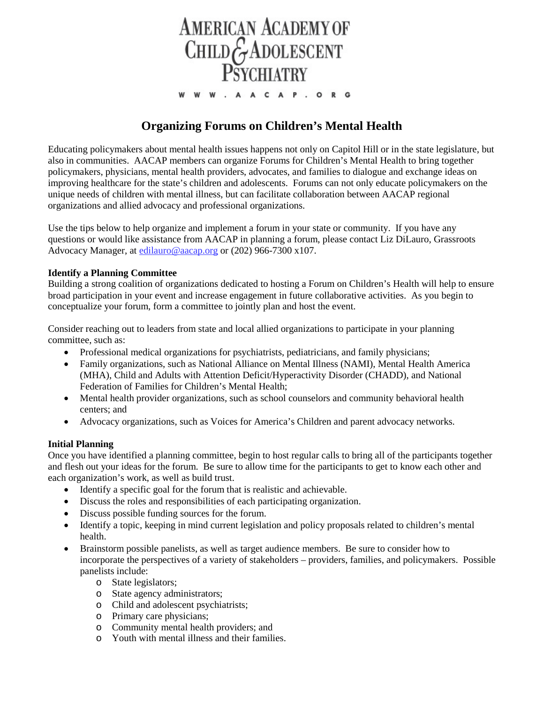

# **Organizing Forums on Children's Mental Health**

Educating policymakers about mental health issues happens not only on Capitol Hill or in the state legislature, but also in communities. AACAP members can organize Forums for Children's Mental Health to bring together policymakers, physicians, mental health providers, advocates, and families to dialogue and exchange ideas on improving healthcare for the state's children and adolescents. Forums can not only educate policymakers on the unique needs of children with mental illness, but can facilitate collaboration between AACAP regional organizations and allied advocacy and professional organizations.

Use the tips below to help organize and implement a forum in your state or community. If you have any questions or would like assistance from AACAP in planning a forum, please contact Liz DiLauro, Grassroots Advocacy Manager, at [edilauro@aacap.org](mailto:edilauro@aacap.org) or (202) 966-7300 x107.

### **Identify a Planning Committee**

Building a strong coalition of organizations dedicated to hosting a Forum on Children's Health will help to ensure broad participation in your event and increase engagement in future collaborative activities. As you begin to conceptualize your forum, form a committee to jointly plan and host the event.

Consider reaching out to leaders from state and local allied organizations to participate in your planning committee, such as:

- Professional medical organizations for psychiatrists, pediatricians, and family physicians;
- Family organizations, such as National Alliance on Mental Illness (NAMI), Mental Health America (MHA), Child and Adults with Attention Deficit/Hyperactivity Disorder (CHADD), and National Federation of Families for Children's Mental Health;
- Mental health provider organizations, such as school counselors and community behavioral health centers; and
- Advocacy organizations, such as Voices for America's Children and parent advocacy networks.

### **Initial Planning**

Once you have identified a planning committee, begin to host regular calls to bring all of the participants together and flesh out your ideas for the forum. Be sure to allow time for the participants to get to know each other and each organization's work, as well as build trust.

- Identify a specific goal for the forum that is realistic and achievable.
- Discuss the roles and responsibilities of each participating organization.
- Discuss possible funding sources for the forum.
- Identify a topic, keeping in mind current legislation and policy proposals related to children's mental health.
- Brainstorm possible panelists, as well as target audience members. Be sure to consider how to incorporate the perspectives of a variety of stakeholders – providers, families, and policymakers. Possible panelists include:
	- o State legislators;
	- o State agency administrators;
	- o Child and adolescent psychiatrists;
	- o Primary care physicians;
	- o Community mental health providers; and
	- o Youth with mental illness and their families.